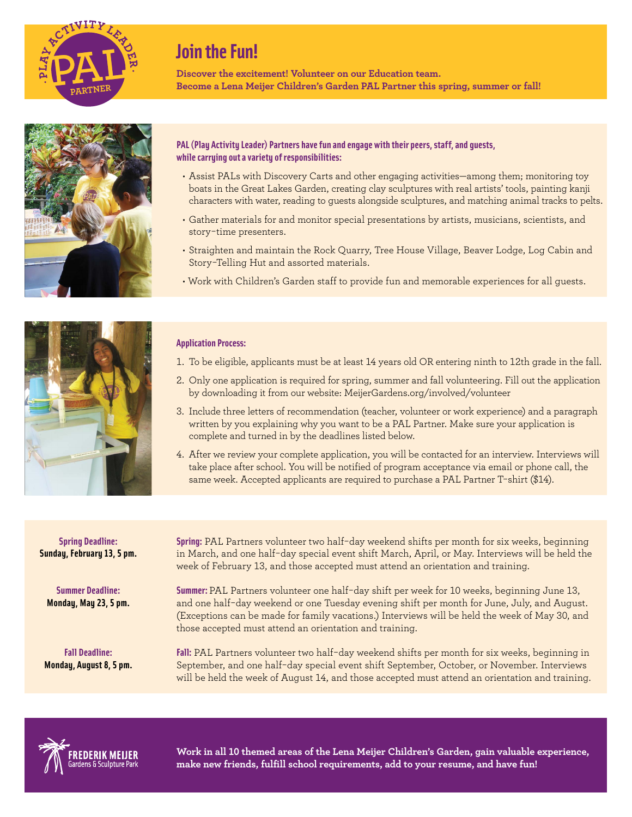

## **Join the Fun!**

**Discover the excitement! Volunteer on our Education team. Become a Lena Meijer Children's Garden PAL Partner this spring, summer or fall!**



## **PAL (Play Activity Leader) Partners have fun and engage with their peers, staff, and guests, while carrying out a variety of responsibilities:**

- Assist PALs with Discovery Carts and other engaging activities—among them; monitoring toy boats in the Great Lakes Garden, creating clay sculptures with real artists' tools, painting kanji characters with water, reading to guests alongside sculptures, and matching animal tracks to pelts.
- Gather materials for and monitor special presentations by artists, musicians, scientists, and story-time presenters.
- Straighten and maintain the Rock Quarry, Tree House Village, Beaver Lodge, Log Cabin and Story-Telling Hut and assorted materials.
- Work with Children's Garden staff to provide fun and memorable experiences for all guests.



## **Application Process:**

- 1. To be eligible, applicants must be at least 14 years old OR entering ninth to 12th grade in the fall.
- 2. Only one application is required for spring, summer and fall volunteering. Fill out the application by downloading it from our website: MeijerGardens.org/involved/volunteer
- 3. Include three letters of recommendation (teacher, volunteer or work experience) and a paragraph written by you explaining why you want to be a PAL Partner. Make sure your application is complete and turned in by the deadlines listed below.
- 4. After we review your complete application, you will be contacted for an interview. Interviews will take place after school. You will be notified of program acceptance via email or phone call, the same week. Accepted applicants are required to purchase a PAL Partner T-shirt (\$14).

**Spring Deadline: Sunday, February 13, 5 pm.**

**Summer Deadline: Monday, May 23, 5 pm.**

**Fall Deadline: Monday, August 8, 5 pm.** **Spring:** PAL Partners volunteer two half-day weekend shifts per month for six weeks, beginning in March, and one half-day special event shift March, April, or May. Interviews will be held the week of February 13, and those accepted must attend an orientation and training.

**Summer:** PAL Partners volunteer one half-day shift per week for 10 weeks, beginning June 13, and one half-day weekend or one Tuesday evening shift per month for June, July, and August. (Exceptions can be made for family vacations.) Interviews will be held the week of May 30, and those accepted must attend an orientation and training.

**Fall:** PAL Partners volunteer two half-day weekend shifts per month for six weeks, beginning in September, and one half-day special event shift September, October, or November. Interviews will be held the week of August 14, and those accepted must attend an orientation and training.



**Work in all 10 themed areas of the Lena Meijer Children's Garden, gain valuable experience, make new friends, fulfill school requirements, add to your resume, and have fun!**